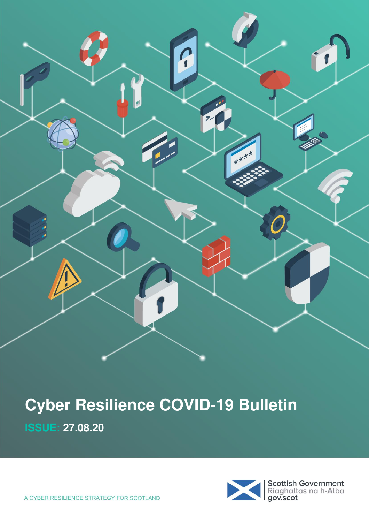

**ISSUE: 27.08.20** 

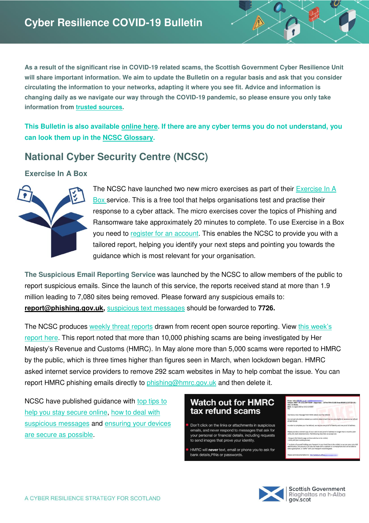**As a result of the significant rise in COVID-19 related scams, the Scottish Government Cyber Resilience Unit will share important information. We aim to update the Bulletin on a regular basis and ask that you consider circulating the information to your networks, adapting it where you see fit. Advice and information is changing daily as we navigate our way through the COVID-19 pandemic, so please ensure you only take information from [trusted sources.](#page-6-0)** 

**This Bulletin is also available [online here.](https://blogs.gov.scot/cyber-resilience/2020/05/06/cyber-resilience-notice-covid-19/?utm_source=Cyber%20Bulletin&utm_medium=document%20link&utm_campaign=Cyber%20Resilience%20Bulletin) If there are any cyber terms you do not understand, you can look them up in the [NCSC Glossary.](https://www.ncsc.gov.uk/information/ncsc-glossary)** 

## **National Cyber Security Centre (NCSC)**

#### **Exercise In A Box**



The NCSC have launched two new micro exercises as part of their [Exercise In A](https://exerciseinabox.service.ncsc.gov.uk/)  [Box](https://exerciseinabox.service.ncsc.gov.uk/) service. This is a free tool that helps organisations test and practise their response to a cyber attack. The micro exercises cover the topics of Phishing and Ransomware take approximately 20 minutes to complete. To use Exercise in a Box you need to [register for an account.](https://exerciseinabox.service.ncsc.gov.uk/) This enables the NCSC to provide you with a tailored report, helping you identify your next steps and pointing you towards the guidance which is most relevant for your organisation.

**The Suspicious Email Reporting Service** was launched by the NCSC to allow members of the public to report suspicious emails. Since the launch of this service, the reports received stand at more than 1.9 million leading to 7,080 sites being removed. Please forward any suspicious emails to: **[report@phishing.gov.uk,](mailto:report@phishing.gov.uk)** [suspicious text messages](https://www.ncsc.gov.uk/guidance/suspicious-email-actions) should be forwarded to **7726.**

The NCSC produces [weekly threat reports](https://www.ncsc.gov.uk/section/keep-up-to-date/threat-reports) drawn from recent open source reporting. View this week's [report here.](https://www.ncsc.gov.uk/report/weekly-threat-report-21st-august-2020) This report noted that more than 10,000 phishing scams are being investigated by Her Majesty's Revenue and Customs (HMRC). In May alone more than 5,000 scams were reported to HMRC by the public, which is three times higher than figures seen in March, when lockdown began. HMRC asked internet service providers to remove 292 scam websites in May to help combat the issue. You can report HMRC phishing emails directly to [phishing@hmrc.gov.uk](mailto:phishing@hmrc.gov.uk) and then delete it.

NCSC have published guidance with top tips to [help you stay secure online,](https://www.ncsc.gov.uk/collection/top-tips-for-staying-secure-online) [how to deal with](https://www.ncsc.gov.uk/guidance/suspicious-email-actions)  [suspicious messages](https://www.ncsc.gov.uk/guidance/suspicious-email-actions) and ensuring your devices [are secure as possible.](https://www.ncsc.gov.uk/guidance/securing-your-devices)

#### **Watch out for HMRC** tax refund scams

- Don't click on the links or attachments in suspicious emails, and never respond to messages that ask for our personal or financial details, including requests to send images that prove your identity.
- HMRC will never text, email or phone you to ask for bank details,PINs or passwords



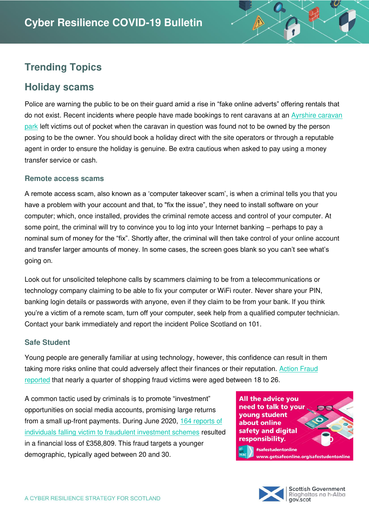# **Trending Topics**

### **Holiday scams**

Police are warning the public to be on their guard amid a rise in "fake online adverts" offering rentals that do not exist. Recent incidents where people have made bookings to rent caravans at an Ayrshire caravan [park](https://www.dailyrecord.co.uk/ayrshire/craig-tara-scam-holiday-warning-22563756) left victims out of pocket when the caravan in question was found not to be owned by the person posing to be the owner. You should book a holiday direct with the site operators or through a reputable agent in order to ensure the holiday is genuine. Be extra cautious when asked to pay using a money transfer service or cash.

#### **Remote access scams**

A remote access scam, also known as a 'computer takeover scam', is when a criminal tells you that you have a problem with your account and that, to "fix the issue", they need to install software on your computer; which, once installed, provides the criminal remote access and control of your computer. At some point, the criminal will try to convince you to log into your Internet banking – perhaps to pay a nominal sum of money for the "fix". Shortly after, the criminal will then take control of your online account and transfer larger amounts of money. In some cases, the screen goes blank so you can't see what's going on.

Look out for unsolicited telephone calls by scammers claiming to be from a telecommunications or technology company claiming to be able to fix your computer or WiFi router. Never share your PIN, banking login details or passwords with anyone, even if they claim to be from your bank. If you think you're a victim of a remote scam, turn off your computer, seek help from a qualified computer technician. Contact your bank immediately and report the incident Police Scotland on 101.

#### **Safe Student**

Young people are generally familiar at using technology, however, this confidence can result in them taking more risks online that could adversely affect their finances or their reputation. Action Fraud [reported](https://www.actionfraud.police.uk/alert/over-16-million-lost-to-online-shopping-fraud-during-lockdown-with-people-aged-18-26-most-at-risk) that nearly a quarter of shopping fraud victims were aged between 18 to 26.

A common tactic used by criminals is to promote "investment" opportunities on social media accounts, promising large returns from a small up-front payments. During June 2020, [164 reports of](https://www.actionfraud.police.uk/alert/164-instagram-users-report-losing-over-350000-to-investment-scams)  [individuals falling victim to fraudulent investment schemes](https://www.actionfraud.police.uk/alert/164-instagram-users-report-losing-over-350000-to-investment-scams) resulted in a financial loss of £358,809. This fraud targets a younger demographic, typically aged between 20 and 30.

All the advice you need to talk to your young student about online safety and digital responsibility. #safestudentonline

> **Scottish Government** Riaghaltas na h-Alba gov.scot

vw.getsafeonline.org/safestudentonline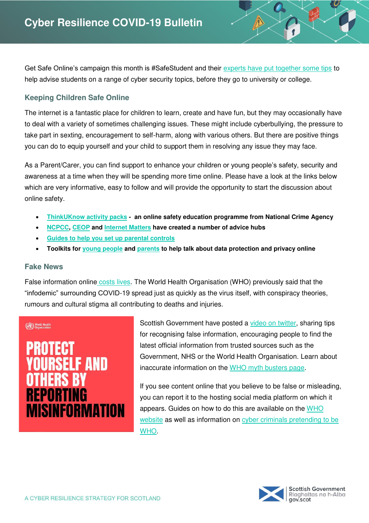Get Safe Online's campaign this month is #SafeStudent and their [experts have put together some tips](https://www.getsafeonline.org/safestudentonline/) to help advise students on a range of cyber security topics, before they go to university or college.

#### **Keeping Children Safe Online**

The internet is a fantastic place for children to learn, create and have fun, but they may occasionally have to deal with a variety of sometimes challenging issues. These might include cyberbullying, the pressure to take part in sexting, encouragement to self-harm, along with various others. But there are positive things you can do to equip yourself and your child to support them in resolving any issue they may face.

As a Parent/Carer, you can find support to enhance your children or young people's safety, security and awareness at a time when they will be spending more time online. Please have a look at the links below which are very informative, easy to follow and will provide the opportunity to start the discussion about online safety.

- **[ThinkUKnow activity packs](https://www.thinkuknow.co.uk/parents/Support-tools/home-activity-worksheets/)  an online safety education programme from National Crime Agency**
- **[NCPCC,](https://www.nspcc.org.uk/keeping-children-safe/online-safety/) [CEOP](https://www.ceop.police.uk/safety-centre/) and [Internet Matters](https://www.internetmatters.org/advice/) have created a number of advice hubs**
- **[Guides to help you set](https://www.internetmatters.org/parental-controls/) up parental controls**
- **Toolkits for [young people](http://www.lse.ac.uk/my-privacy-uk) and [parents](https://www.lse.ac.uk/my-privacy-uk/for-parents) to help talk about data protection and privacy online**

#### **Fake News**

False information onlin[e costs lives.](https://www.bbc.co.uk/news/world-53755067) The World Health Organisation (WHO) previously said that the "infodemic" surrounding COVID-19 spread just as quickly as the virus itself, with conspiracy theories, rumours and cultural stigma all contributing to deaths and injuries.

# (Ca.) World Health **F AND REPORTING MISINFORMATION**

Scottish Government have posted a [video on twitter,](https://twitter.com/scotgov/status/1291441410290249729?s=20) sharing tips for recognising false information, encouraging people to find the latest official information from trusted sources such as the Government, NHS or the World Health Organisation. Learn about inaccurate information on the [WHO myth busters page.](https://www.who.int/emergencies/diseases/novel-coronavirus-2019/advice-for-public/myth-busters)

If you see content online that you believe to be false or misleading, you can report it to the hosting social media platform on which it appears. Guides on how to do this are available on the WHO [website](https://www.who.int/campaigns/connecting-the-world-to-combat-coronavirus/how-to-report-misinformation-online) as well as information on cyber criminals pretending to be [WHO.](https://www.who.int/about/communications/cyber-security)

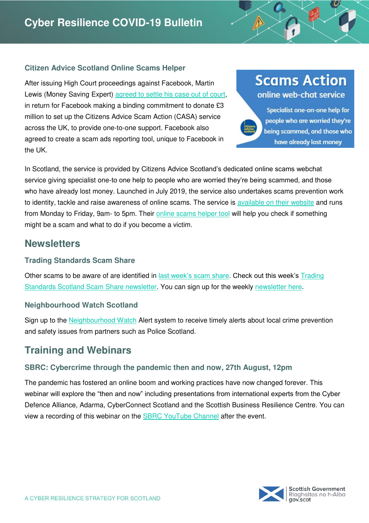#### **Citizen Advice Scotland Online Scams Helper**

After issuing High Court proceedings against Facebook, Martin Lewis (Money Saving Expert) [agreed to settle his case out of court,](https://www.moneysavingexpert.com/news/2019/01/martin-lewis-drops-lawsuit-as-facebook-agreed-to-donate-p3m-to-a/) in return for Facebook making a binding commitment to donate £3 million to set up the Citizens Advice Scam Action (CASA) service across the UK, to provide one-to-one support. Facebook also agreed to create a scam ads reporting tool, unique to Facebook in the UK.

# **Scams Action** online web-chat service

Specialist one-on-one help for people who are worried they're being scammed, and those who have already lost money

In Scotland, the service is provided by Citizens Advice Scotland's dedicated online scams webchat service giving specialist one-to one help to people who are worried they're being scammed, and those who have already lost money. Launched in July 2019, the service also undertakes scams prevention work to identity, tackle and raise awareness of online scams. The service is [available on their website](https://www.cas.org.uk/scams-action) and runs from Monday to Friday, 9am- to 5pm. Their [online scams helper tool](https://www.citizensadvice.org.uk/scotland/consumer/scams/check-if-something-might-be-a-scam/) will help you check if something might be a scam and what to do if you become a victim.

### **Newsletters**

#### **Trading Standards Scam Share**

Other scams to be aware of are identified in [last week's scam share.](https://mailchi.mp/6aaf5a0ee5e8/scam-share) Check out this week's [Trading](https://mailchi.mp/8f90a3b5b51a/scam-share)  [Standards Scotland Scam Share newsletter.](https://mailchi.mp/8f90a3b5b51a/scam-share) You can sign up for the weekly [newsletter here.](https://mailchi.mp/79a5dd06fd6a/scamshare)

#### **Neighbourhood Watch Scotland**

Sign up to the [Neighbourhood Watch](https://www.neighbourhoodwatchscotland.co.uk/) Alert system to receive timely alerts about local crime prevention and safety issues from partners such as Police Scotland.

## **Training and Webinars**

#### **SBRC: Cybercrime through the pandemic then and now, 27th August, 12pm**

The pandemic has fostered an online boom and working practices have now changed forever. This webinar will explore the "then and now" including presentations from international experts from the Cyber Defence Alliance, Adarma, CyberConnect Scotland and the Scottish Business Resilience Centre. You can view a recording of this webinar on the **SBRC YouTube Channel** after the event.

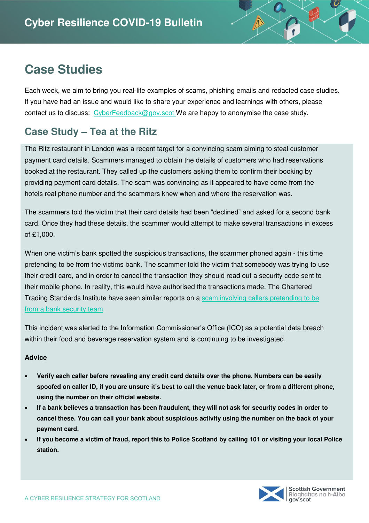# **Case Studies**

Each week, we aim to bring you real-life examples of scams, phishing emails and redacted case studies. If you have had an issue and would like to share your experience and learnings with others, please contact us to discuss: [CyberFeedback@gov.scot](mailto:CyberFeedback@gov.scot) We are happy to anonymise the case study.

# **Case Study – Tea at the Ritz**

The Ritz restaurant in London was a recent target for a convincing scam aiming to steal customer payment card details. Scammers managed to obtain the details of customers who had reservations booked at the restaurant. They called up the customers asking them to confirm their booking by providing payment card details. The scam was convincing as it appeared to have come from the hotels real phone number and the scammers knew when and where the reservation was.

The scammers told the victim that their card details had been "declined" and asked for a second bank card. Once they had these details, the scammer would attempt to make several transactions in excess of £1,000.

When one victim's bank spotted the suspicious transactions, the scammer phoned again - this time pretending to be from the victims bank. The scammer told the victim that somebody was trying to use their credit card, and in order to cancel the transaction they should read out a security code sent to their mobile phone. In reality, this would have authorised the transactions made. The Chartered Trading Standards Institute have seen similar reports on a [scam involving callers pretending to be](https://www.journaloftradingstandards.co.uk/crime/bank-security-scam-call-emerges/)  [from a bank security team.](https://www.journaloftradingstandards.co.uk/crime/bank-security-scam-call-emerges/)

This incident was alerted to the Information Commissioner's Office (ICO) as a potential data breach within their food and beverage reservation system and is continuing to be investigated.

#### **Advice**

- **Verify each caller before revealing any credit card details over the phone. Numbers can be easily spoofed on caller ID, if you are unsure it's best to call the venue back later, or from a different phone, using the number on their official website.**
- **If a bank believes a transaction has been fraudulent, they will not ask for security codes in order to cancel these. You can call your bank about suspicious activity using the number on the back of your payment card.**
- **If you become a victim of fraud, report this to Police Scotland by calling 101 or visiting your local Police station.**